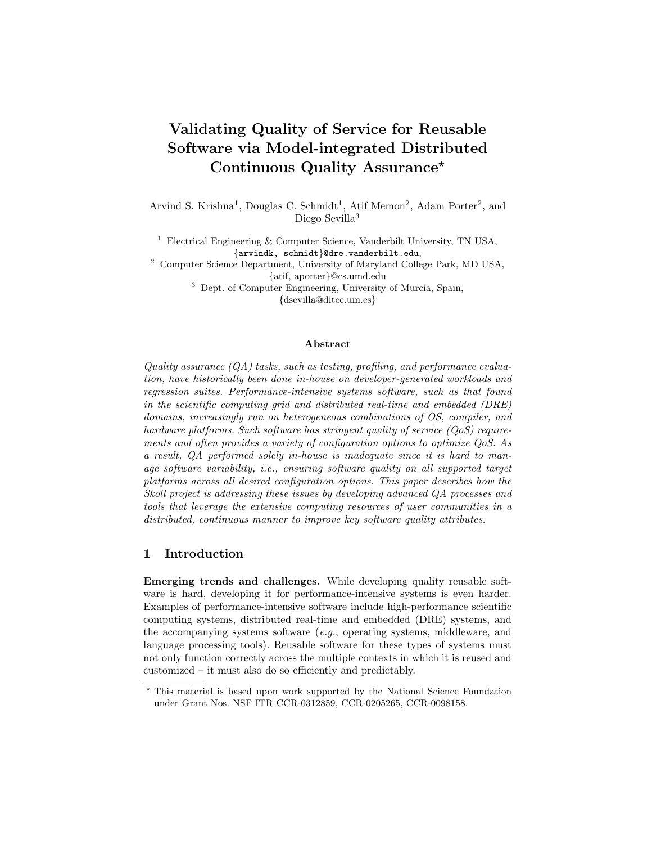# Validating Quality of Service for Reusable Software via Model-integrated Distributed Continuous Quality Assurance?

Arvind S. Krishna<sup>1</sup>, Douglas C. Schmidt<sup>1</sup>, Atif Memon<sup>2</sup>, Adam Porter<sup>2</sup>, and Diego Sevilla<sup>3</sup>

<sup>1</sup> Electrical Engineering  $&$  Computer Science, Vanderbilt University, TN USA, {arvindk, schmidt}@dre.vanderbilt.edu, <sup>2</sup> Computer Science Department, University of Maryland College Park, MD USA, {atif, aporter}@cs.umd.edu <sup>3</sup> Dept. of Computer Engineering, University of Murcia, Spain,

{dsevilla@ditec.um.es}

#### Abstract

Quality assurance  $(QA)$  tasks, such as testing, profiling, and performance evaluation, have historically been done in-house on developer-generated workloads and regression suites. Performance-intensive systems software, such as that found in the scientific computing grid and distributed real-time and embedded (DRE) domains, increasingly run on heterogeneous combinations of OS, compiler, and hardware platforms. Such software has stringent quality of service (QoS) requirements and often provides a variety of configuration options to optimize QoS. As a result, QA performed solely in-house is inadequate since it is hard to manage software variability, i.e., ensuring software quality on all supported target platforms across all desired configuration options. This paper describes how the Skoll project is addressing these issues by developing advanced QA processes and tools that leverage the extensive computing resources of user communities in a distributed, continuous manner to improve key software quality attributes.

## 1 Introduction

Emerging trends and challenges. While developing quality reusable software is hard, developing it for performance-intensive systems is even harder. Examples of performance-intensive software include high-performance scientific computing systems, distributed real-time and embedded (DRE) systems, and the accompanying systems software (e.g., operating systems, middleware, and language processing tools). Reusable software for these types of systems must not only function correctly across the multiple contexts in which it is reused and customized – it must also do so efficiently and predictably.

<sup>?</sup> This material is based upon work supported by the National Science Foundation under Grant Nos. NSF ITR CCR-0312859, CCR-0205265, CCR-0098158.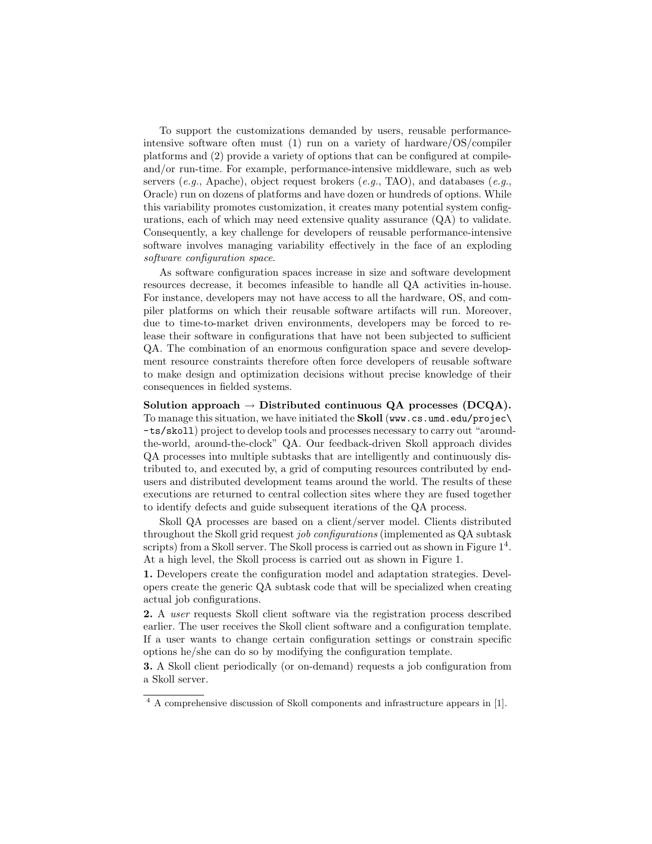To support the customizations demanded by users, reusable performanceintensive software often must (1) run on a variety of hardware/OS/compiler platforms and (2) provide a variety of options that can be configured at compileand/or run-time. For example, performance-intensive middleware, such as web servers (e.g., Apache), object request brokers (e.g., TAO), and databases (e.g., Oracle) run on dozens of platforms and have dozen or hundreds of options. While this variability promotes customization, it creates many potential system configurations, each of which may need extensive quality assurance (QA) to validate. Consequently, a key challenge for developers of reusable performance-intensive software involves managing variability effectively in the face of an exploding software configuration space.

As software configuration spaces increase in size and software development resources decrease, it becomes infeasible to handle all QA activities in-house. For instance, developers may not have access to all the hardware, OS, and compiler platforms on which their reusable software artifacts will run. Moreover, due to time-to-market driven environments, developers may be forced to release their software in configurations that have not been subjected to sufficient QA. The combination of an enormous configuration space and severe development resource constraints therefore often force developers of reusable software to make design and optimization decisions without precise knowledge of their consequences in fielded systems.

Solution approach  $\rightarrow$  Distributed continuous QA processes (DCQA). To manage this situation, we have initiated the **Skoll** (www.cs.umd.edu/projec) -ts/skoll) project to develop tools and processes necessary to carry out "aroundthe-world, around-the-clock" QA. Our feedback-driven Skoll approach divides QA processes into multiple subtasks that are intelligently and continuously distributed to, and executed by, a grid of computing resources contributed by endusers and distributed development teams around the world. The results of these executions are returned to central collection sites where they are fused together to identify defects and guide subsequent iterations of the QA process.

Skoll QA processes are based on a client/server model. Clients distributed throughout the Skoll grid request job configurations (implemented as QA subtask scripts) from a Skoll server. The Skoll process is carried out as shown in Figure  $1^4$ . At a high level, the Skoll process is carried out as shown in Figure 1.

1. Developers create the configuration model and adaptation strategies. Developers create the generic QA subtask code that will be specialized when creating actual job configurations.

2. A user requests Skoll client software via the registration process described earlier. The user receives the Skoll client software and a configuration template. If a user wants to change certain configuration settings or constrain specific options he/she can do so by modifying the configuration template.

3. A Skoll client periodically (or on-demand) requests a job configuration from a Skoll server.

<sup>4</sup> A comprehensive discussion of Skoll components and infrastructure appears in [1].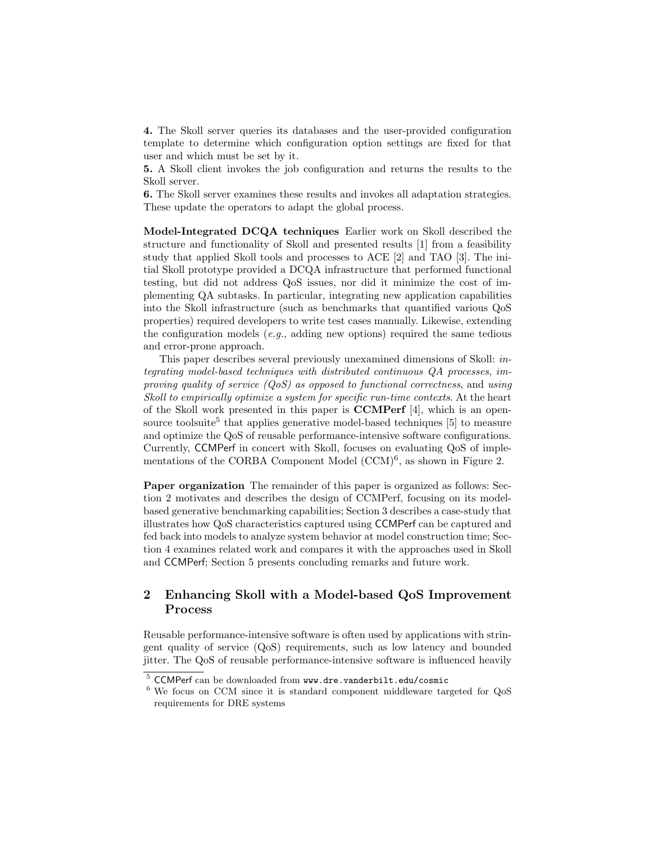4. The Skoll server queries its databases and the user-provided configuration template to determine which configuration option settings are fixed for that user and which must be set by it.

5. A Skoll client invokes the job configuration and returns the results to the Skoll server.

6. The Skoll server examines these results and invokes all adaptation strategies. These update the operators to adapt the global process.

Model-Integrated DCQA techniques Earlier work on Skoll described the structure and functionality of Skoll and presented results [1] from a feasibility study that applied Skoll tools and processes to ACE [2] and TAO [3]. The initial Skoll prototype provided a DCQA infrastructure that performed functional testing, but did not address QoS issues, nor did it minimize the cost of implementing QA subtasks. In particular, integrating new application capabilities into the Skoll infrastructure (such as benchmarks that quantified various QoS properties) required developers to write test cases manually. Likewise, extending the configuration models  $(e.g.,$  adding new options) required the same tedious and error-prone approach.

This paper describes several previously unexamined dimensions of Skoll: integrating model-based techniques with distributed continuous QA processes, improving quality of service  $(QoS)$  as opposed to functional correctness, and using Skoll to empirically optimize a system for specific run-time contexts. At the heart of the Skoll work presented in this paper is **CCMPerf** [4], which is an opensource toolsuite<sup>5</sup> that applies generative model-based techniques  $[5]$  to measure and optimize the QoS of reusable performance-intensive software configurations. Currently, CCMPerf in concert with Skoll, focuses on evaluating QoS of implementations of the CORBA Component Model (CCM)<sup>6</sup>, as shown in Figure 2.

Paper organization The remainder of this paper is organized as follows: Section 2 motivates and describes the design of CCMPerf, focusing on its modelbased generative benchmarking capabilities; Section 3 describes a case-study that illustrates how QoS characteristics captured using CCMPerf can be captured and fed back into models to analyze system behavior at model construction time; Section 4 examines related work and compares it with the approaches used in Skoll and CCMPerf; Section 5 presents concluding remarks and future work.

# 2 Enhancing Skoll with a Model-based QoS Improvement Process

Reusable performance-intensive software is often used by applications with stringent quality of service (QoS) requirements, such as low latency and bounded jitter. The QoS of reusable performance-intensive software is influenced heavily

 $^5$  CCMPerf can be downloaded from  ${\tt www.dre.vanderbilt.edu/cosmic}$ 

<sup>6</sup> We focus on CCM since it is standard component middleware targeted for QoS requirements for DRE systems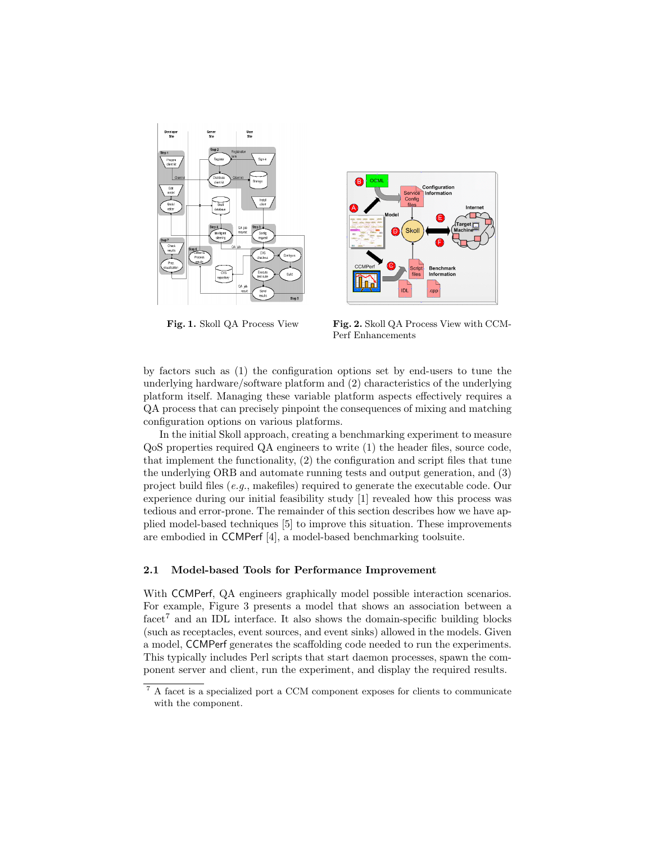



Fig. 1. Skoll QA Process View Fig. 2. Skoll QA Process View with CCM-Perf Enhancements

by factors such as (1) the configuration options set by end-users to tune the underlying hardware/software platform and (2) characteristics of the underlying platform itself. Managing these variable platform aspects effectively requires a QA process that can precisely pinpoint the consequences of mixing and matching configuration options on various platforms.

In the initial Skoll approach, creating a benchmarking experiment to measure QoS properties required QA engineers to write (1) the header files, source code, that implement the functionality, (2) the configuration and script files that tune the underlying ORB and automate running tests and output generation, and (3) project build files (e.g., makefiles) required to generate the executable code. Our experience during our initial feasibility study [1] revealed how this process was tedious and error-prone. The remainder of this section describes how we have applied model-based techniques [5] to improve this situation. These improvements are embodied in CCMPerf [4], a model-based benchmarking toolsuite.

#### 2.1 Model-based Tools for Performance Improvement

With CCMPerf, QA engineers graphically model possible interaction scenarios. For example, Figure 3 presents a model that shows an association between a facet<sup>7</sup> and an IDL interface. It also shows the domain-specific building blocks (such as receptacles, event sources, and event sinks) allowed in the models. Given a model, CCMPerf generates the scaffolding code needed to run the experiments. This typically includes Perl scripts that start daemon processes, spawn the component server and client, run the experiment, and display the required results.

 $^7$  A facet is a specialized port a CCM component exposes for clients to communicate with the component.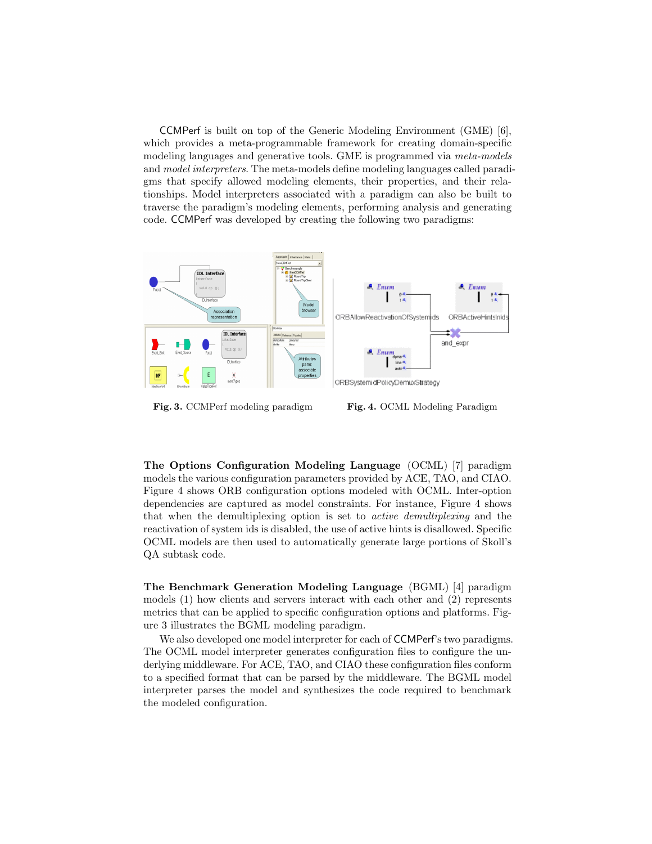CCMPerf is built on top of the Generic Modeling Environment (GME) [6], which provides a meta-programmable framework for creating domain-specific modeling languages and generative tools. GME is programmed via *meta-models* and model interpreters. The meta-models define modeling languages called paradigms that specify allowed modeling elements, their properties, and their relationships. Model interpreters associated with a paradigm can also be built to traverse the paradigm's modeling elements, performing analysis and generating code. CCMPerf was developed by creating the following two paradigms:



Fig. 3. CCMPerf modeling paradigm Fig. 4. OCML Modeling Paradigm

The Options Configuration Modeling Language (OCML) [7] paradigm models the various configuration parameters provided by ACE, TAO, and CIAO. Figure 4 shows ORB configuration options modeled with OCML. Inter-option dependencies are captured as model constraints. For instance, Figure 4 shows that when the demultiplexing option is set to active demultiplexing and the reactivation of system ids is disabled, the use of active hints is disallowed. Specific OCML models are then used to automatically generate large portions of Skoll's QA subtask code.

The Benchmark Generation Modeling Language (BGML) [4] paradigm models (1) how clients and servers interact with each other and (2) represents metrics that can be applied to specific configuration options and platforms. Figure 3 illustrates the BGML modeling paradigm.

We also developed one model interpreter for each of CCMPerf's two paradigms. The OCML model interpreter generates configuration files to configure the underlying middleware. For ACE, TAO, and CIAO these configuration files conform to a specified format that can be parsed by the middleware. The BGML model interpreter parses the model and synthesizes the code required to benchmark the modeled configuration.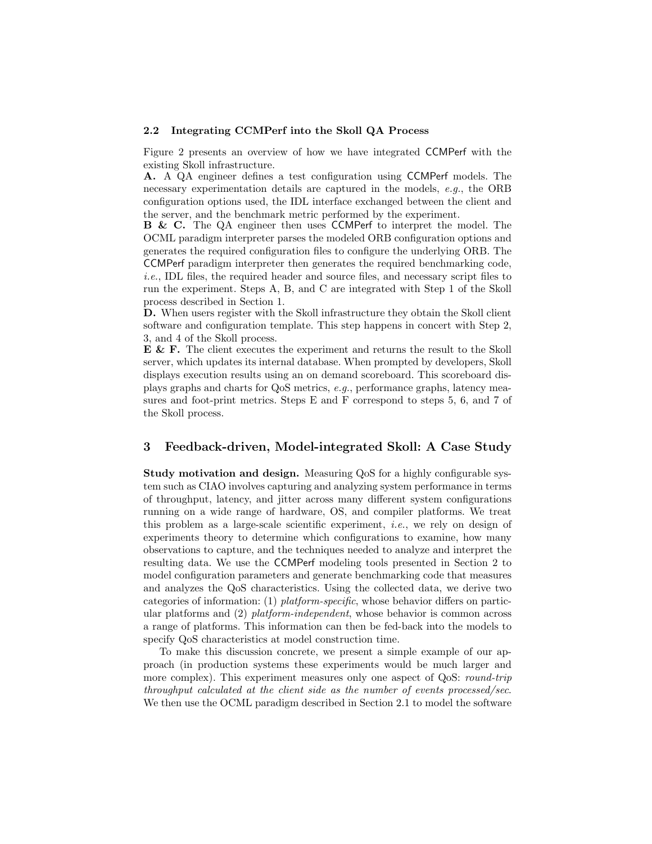#### 2.2 Integrating CCMPerf into the Skoll QA Process

Figure 2 presents an overview of how we have integrated CCMPerf with the existing Skoll infrastructure.

A. A QA engineer defines a test configuration using CCMPerf models. The necessary experimentation details are captured in the models, e.g., the ORB configuration options used, the IDL interface exchanged between the client and the server, and the benchmark metric performed by the experiment.

B & C. The QA engineer then uses CCMPerf to interpret the model. The OCML paradigm interpreter parses the modeled ORB configuration options and generates the required configuration files to configure the underlying ORB. The CCMPerf paradigm interpreter then generates the required benchmarking code, i.e., IDL files, the required header and source files, and necessary script files to run the experiment. Steps A, B, and C are integrated with Step 1 of the Skoll process described in Section 1.

D. When users register with the Skoll infrastructure they obtain the Skoll client software and configuration template. This step happens in concert with Step 2, 3, and 4 of the Skoll process.

 $E \& F$ . The client executes the experiment and returns the result to the Skoll server, which updates its internal database. When prompted by developers, Skoll displays execution results using an on demand scoreboard. This scoreboard displays graphs and charts for QoS metrics, e.g., performance graphs, latency measures and foot-print metrics. Steps E and F correspond to steps 5, 6, and 7 of the Skoll process.

## 3 Feedback-driven, Model-integrated Skoll: A Case Study

Study motivation and design. Measuring QoS for a highly configurable system such as CIAO involves capturing and analyzing system performance in terms of throughput, latency, and jitter across many different system configurations running on a wide range of hardware, OS, and compiler platforms. We treat this problem as a large-scale scientific experiment, i.e., we rely on design of experiments theory to determine which configurations to examine, how many observations to capture, and the techniques needed to analyze and interpret the resulting data. We use the CCMPerf modeling tools presented in Section 2 to model configuration parameters and generate benchmarking code that measures and analyzes the QoS characteristics. Using the collected data, we derive two categories of information: (1) platform-specific, whose behavior differs on particular platforms and  $(2)$  platform-independent, whose behavior is common across a range of platforms. This information can then be fed-back into the models to specify QoS characteristics at model construction time.

To make this discussion concrete, we present a simple example of our approach (in production systems these experiments would be much larger and more complex). This experiment measures only one aspect of QoS: *round-trip* throughput calculated at the client side as the number of events processed/sec. We then use the OCML paradigm described in Section 2.1 to model the software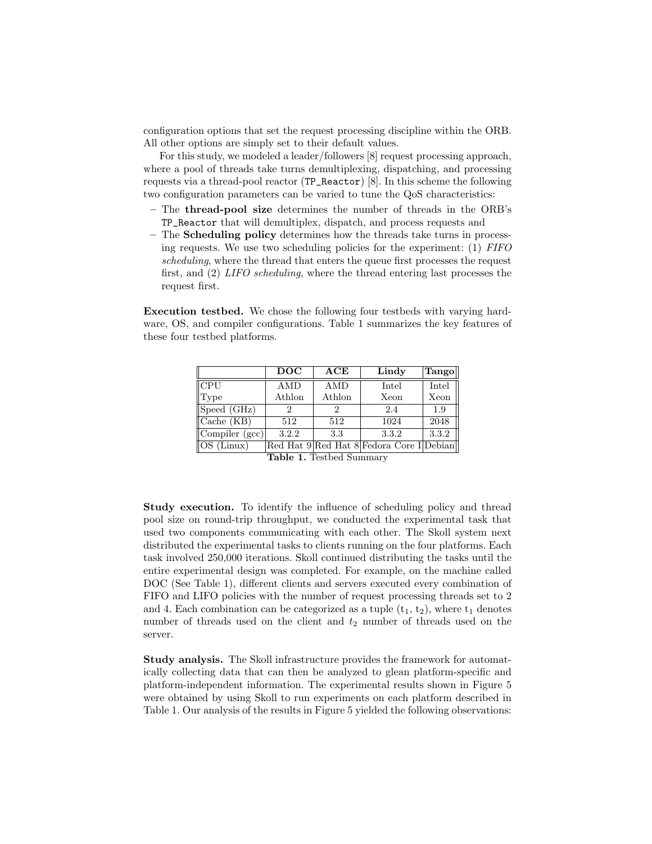configuration options that set the request processing discipline within the ORB. All other options are simply set to their default values.

For this study, we modeled a leader/followers [8] request processing approach, where a pool of threads take turns demultiplexing, dispatching, and processing requests via a thread-pool reactor (TP\_Reactor) [8]. In this scheme the following two configuration parameters can be varied to tune the QoS characteristics:

- The thread-pool size determines the number of threads in the ORB's TP\_Reactor that will demultiplex, dispatch, and process requests and
- The Scheduling policy determines how the threads take turns in processing requests. We use two scheduling policies for the experiment: (1) FIFO scheduling, where the thread that enters the queue first processes the request first, and (2) LIFO scheduling, where the thread entering last processes the request first.

Execution testbed. We chose the following four testbeds with varying hardware, OS, and compiler configurations. Table 1 summarizes the key features of these four testbed platforms.

|                              | $_{\text{DOC}}$ | ACE    | Lindy                                    | Tango |
|------------------------------|-----------------|--------|------------------------------------------|-------|
| CPU                          | AMD             | AMD    | Intel                                    | Intel |
| Type                         | Athlon          | Athlon | Xeon                                     | Xeon  |
| Speed (GHz)                  |                 | '2     | 2.4                                      | 1.9   |
| Cache(KB)                    | 512             | 512    | 1024                                     | 2048  |
| $\sqrt{\text{Complex}(gcc)}$ | 3.2.2           | 3.3    | 3.3.2                                    | 3.3.2 |
| $ $ OS (Linux)               |                 |        | Red Hat 9 Red Hat 8 Fedora Core I Debian |       |

Table 1. Testbed Summary

Study execution. To identify the influence of scheduling policy and thread pool size on round-trip throughput, we conducted the experimental task that used two components communicating with each other. The Skoll system next distributed the experimental tasks to clients running on the four platforms. Each task involved 250,000 iterations. Skoll continued distributing the tasks until the entire experimental design was completed. For example, on the machine called DOC (See Table 1), different clients and servers executed every combination of FIFO and LIFO policies with the number of request processing threads set to 2 and 4. Each combination can be categorized as a tuple  $(t_1, t_2)$ , where  $t_1$  denotes number of threads used on the client and  $t_2$  number of threads used on the server.

Study analysis. The Skoll infrastructure provides the framework for automatically collecting data that can then be analyzed to glean platform-specific and platform-independent information. The experimental results shown in Figure 5 were obtained by using Skoll to run experiments on each platform described in Table 1. Our analysis of the results in Figure 5 yielded the following observations: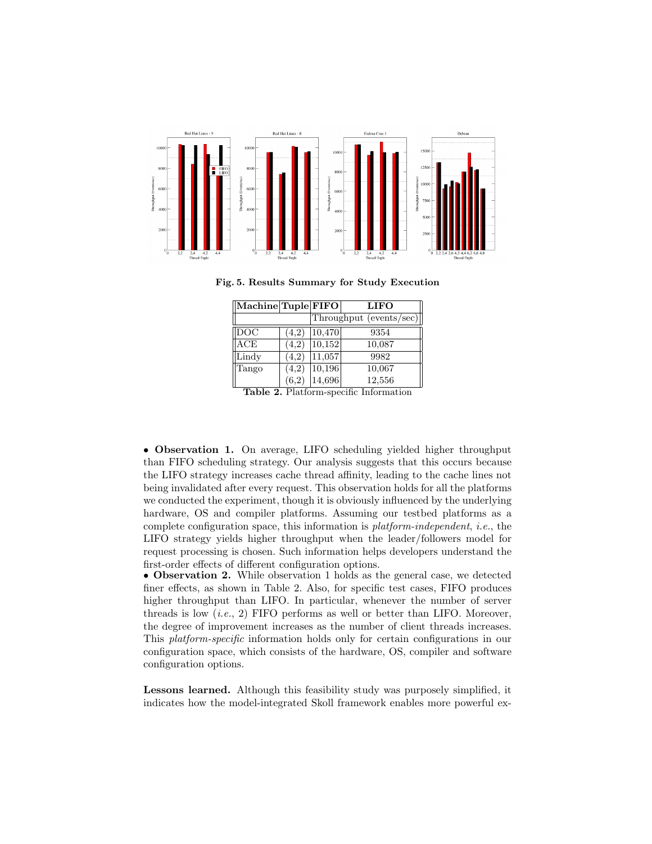

Fig. 5. Results Summary for Study Execution

| $\  \mathbf{Machine}   \mathbf{Tuple}   \mathbf{FIFO}  $ |       |                         | <b>LIFO</b> |
|----------------------------------------------------------|-------|-------------------------|-------------|
|                                                          |       | Throughput (events/sec) |             |
| $ _{\text{DOC}}$                                         | (4,2) | 10,470                  | 9354        |
| ACE                                                      | (4,2) | 10, 152                 | 10,087      |
| Lindy                                                    | (4,2) | 11,057                  | 9982        |
| Tango                                                    | (4,2) | 10, 196                 | 10,067      |
|                                                          | (6,2) | 14,696                  | 12,556      |

Table 2. Platform-specific Information

• Observation 1. On average, LIFO scheduling yielded higher throughput than FIFO scheduling strategy. Our analysis suggests that this occurs because the LIFO strategy increases cache thread affinity, leading to the cache lines not being invalidated after every request. This observation holds for all the platforms we conducted the experiment, though it is obviously influenced by the underlying hardware, OS and compiler platforms. Assuming our testbed platforms as a complete configuration space, this information is platform-independent, i.e., the LIFO strategy yields higher throughput when the leader/followers model for request processing is chosen. Such information helps developers understand the first-order effects of different configuration options.

• Observation 2. While observation 1 holds as the general case, we detected finer effects, as shown in Table 2. Also, for specific test cases, FIFO produces higher throughput than LIFO. In particular, whenever the number of server threads is low  $(i.e., 2)$  FIFO performs as well or better than LIFO. Moreover, the degree of improvement increases as the number of client threads increases. This platform-specific information holds only for certain configurations in our configuration space, which consists of the hardware, OS, compiler and software configuration options.

Lessons learned. Although this feasibility study was purposely simplified, it indicates how the model-integrated Skoll framework enables more powerful ex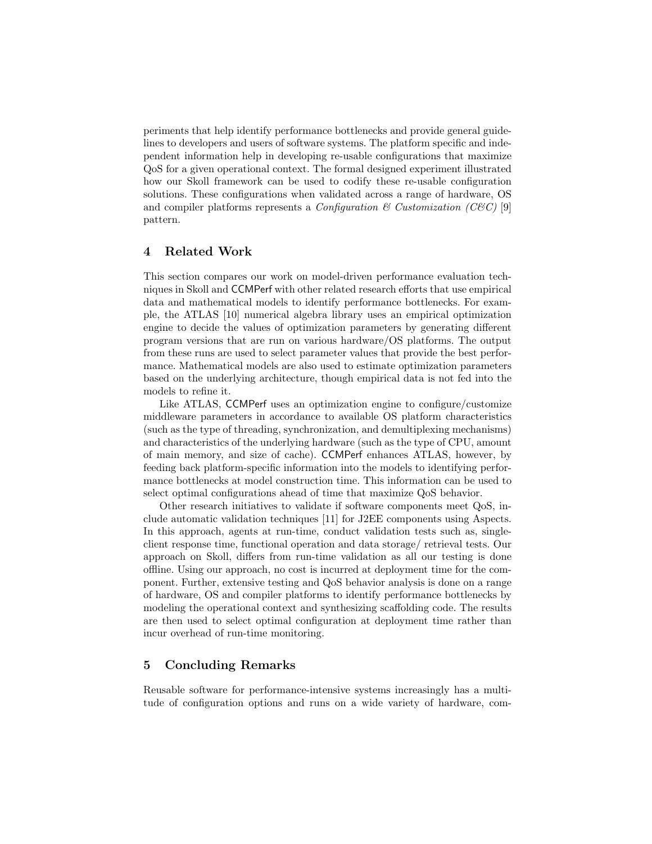periments that help identify performance bottlenecks and provide general guidelines to developers and users of software systems. The platform specific and independent information help in developing re-usable configurations that maximize QoS for a given operational context. The formal designed experiment illustrated how our Skoll framework can be used to codify these re-usable configuration solutions. These configurations when validated across a range of hardware, OS and compiler platforms represents a *Configuration*  $\mathcal C$  *Customization (C* $\mathcal{C}C$ *)* [9] pattern.

# 4 Related Work

This section compares our work on model-driven performance evaluation techniques in Skoll and CCMPerf with other related research efforts that use empirical data and mathematical models to identify performance bottlenecks. For example, the ATLAS [10] numerical algebra library uses an empirical optimization engine to decide the values of optimization parameters by generating different program versions that are run on various hardware/OS platforms. The output from these runs are used to select parameter values that provide the best performance. Mathematical models are also used to estimate optimization parameters based on the underlying architecture, though empirical data is not fed into the models to refine it.

Like ATLAS, CCMPerf uses an optimization engine to configure/customize middleware parameters in accordance to available OS platform characteristics (such as the type of threading, synchronization, and demultiplexing mechanisms) and characteristics of the underlying hardware (such as the type of CPU, amount of main memory, and size of cache). CCMPerf enhances ATLAS, however, by feeding back platform-specific information into the models to identifying performance bottlenecks at model construction time. This information can be used to select optimal configurations ahead of time that maximize QoS behavior.

Other research initiatives to validate if software components meet QoS, include automatic validation techniques [11] for J2EE components using Aspects. In this approach, agents at run-time, conduct validation tests such as, singleclient response time, functional operation and data storage/ retrieval tests. Our approach on Skoll, differs from run-time validation as all our testing is done offline. Using our approach, no cost is incurred at deployment time for the component. Further, extensive testing and QoS behavior analysis is done on a range of hardware, OS and compiler platforms to identify performance bottlenecks by modeling the operational context and synthesizing scaffolding code. The results are then used to select optimal configuration at deployment time rather than incur overhead of run-time monitoring.

# 5 Concluding Remarks

Reusable software for performance-intensive systems increasingly has a multitude of configuration options and runs on a wide variety of hardware, com